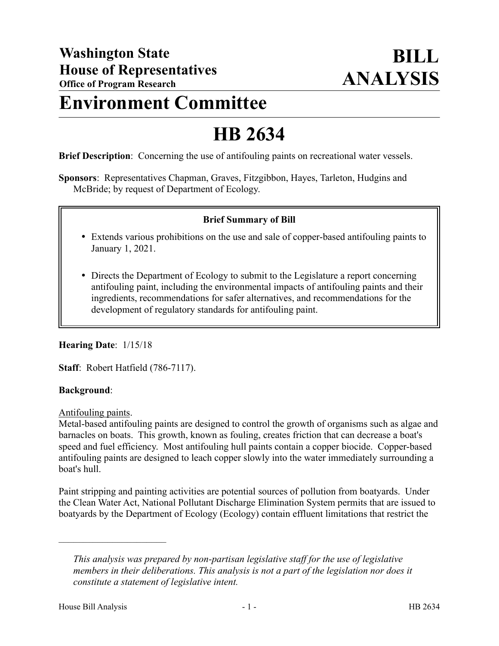## **Environment Committee**

# **HB 2634**

**Brief Description**: Concerning the use of antifouling paints on recreational water vessels.

**Sponsors**: Representatives Chapman, Graves, Fitzgibbon, Hayes, Tarleton, Hudgins and McBride; by request of Department of Ecology.

#### **Brief Summary of Bill**

- Extends various prohibitions on the use and sale of copper-based antifouling paints to January 1, 2021.
- Directs the Department of Ecology to submit to the Legislature a report concerning antifouling paint, including the environmental impacts of antifouling paints and their ingredients, recommendations for safer alternatives, and recommendations for the development of regulatory standards for antifouling paint.

#### **Hearing Date**: 1/15/18

**Staff**: Robert Hatfield (786-7117).

#### **Background**:

Antifouling paints.

Metal-based antifouling paints are designed to control the growth of organisms such as algae and barnacles on boats. This growth, known as fouling, creates friction that can decrease a boat's speed and fuel efficiency. Most antifouling hull paints contain a copper biocide. Copper-based antifouling paints are designed to leach copper slowly into the water immediately surrounding a boat's hull.

Paint stripping and painting activities are potential sources of pollution from boatyards. Under the Clean Water Act, National Pollutant Discharge Elimination System permits that are issued to boatyards by the Department of Ecology (Ecology) contain effluent limitations that restrict the

––––––––––––––––––––––

*This analysis was prepared by non-partisan legislative staff for the use of legislative members in their deliberations. This analysis is not a part of the legislation nor does it constitute a statement of legislative intent.*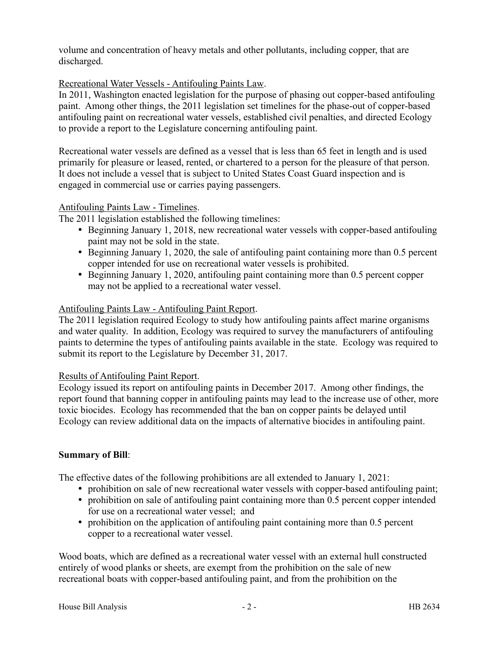volume and concentration of heavy metals and other pollutants, including copper, that are discharged.

#### Recreational Water Vessels - Antifouling Paints Law.

In 2011, Washington enacted legislation for the purpose of phasing out copper-based antifouling paint. Among other things, the 2011 legislation set timelines for the phase-out of copper-based antifouling paint on recreational water vessels, established civil penalties, and directed Ecology to provide a report to the Legislature concerning antifouling paint.

Recreational water vessels are defined as a vessel that is less than 65 feet in length and is used primarily for pleasure or leased, rented, or chartered to a person for the pleasure of that person. It does not include a vessel that is subject to United States Coast Guard inspection and is engaged in commercial use or carries paying passengers.

#### Antifouling Paints Law - Timelines.

The 2011 legislation established the following timelines:

- Beginning January 1, 2018, new recreational water vessels with copper-based antifouling paint may not be sold in the state.
- Beginning January 1, 2020, the sale of antifouling paint containing more than 0.5 percent copper intended for use on recreational water vessels is prohibited.
- Beginning January 1, 2020, antifouling paint containing more than 0.5 percent copper may not be applied to a recreational water vessel.

#### Antifouling Paints Law - Antifouling Paint Report.

The 2011 legislation required Ecology to study how antifouling paints affect marine organisms and water quality. In addition, Ecology was required to survey the manufacturers of antifouling paints to determine the types of antifouling paints available in the state. Ecology was required to submit its report to the Legislature by December 31, 2017.

#### Results of Antifouling Paint Report.

Ecology issued its report on antifouling paints in December 2017. Among other findings, the report found that banning copper in antifouling paints may lead to the increase use of other, more toxic biocides. Ecology has recommended that the ban on copper paints be delayed until Ecology can review additional data on the impacts of alternative biocides in antifouling paint.

### **Summary of Bill**:

The effective dates of the following prohibitions are all extended to January 1, 2021:

- prohibition on sale of new recreational water vessels with copper-based antifouling paint;
- prohibition on sale of antifouling paint containing more than 0.5 percent copper intended for use on a recreational water vessel; and
- prohibition on the application of antifouling paint containing more than 0.5 percent copper to a recreational water vessel.

Wood boats, which are defined as a recreational water vessel with an external hull constructed entirely of wood planks or sheets, are exempt from the prohibition on the sale of new recreational boats with copper-based antifouling paint, and from the prohibition on the